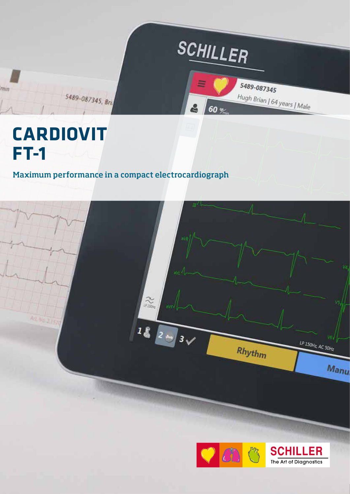

## Maximum performance in a compact electrocardiograph



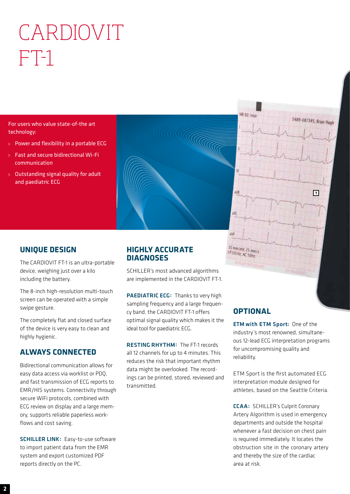# CARDIOVIT FT-1

For users who value state-of-the art technology:

- Power and flexibility in a portable ECG
- Fast and secure bidirectional Wi-Fi communication
- Outstanding signal quality for adult and paediatric ECG



## **UNIQUE DESIGN**

The CARDIOVIT FT-1 is an ultra-portable device, weighing just over a kilo including the battery.

The 8-inch high-resolution multi-touch screen can be operated with a simple swipe gesture.

The completely flat and closed surface of the device is very easy to clean and highly hygienic.

## **ALWAYS CONNECTED**

Bidirectional communication allows for easy data access via worklist or PDQ, and fast transmission of ECG reports to EMR/HIS systems. Connectivity through secure WiFi protocols, combined with ECG review on display and a large memory, supports reliable paperless workflows and cost saving.

SCHILLER LINK: Easy-to-use software to import patient data from the EMR system and export customized PDF reports directly on the PC.

## **HIGHLY ACCURATE DIAGNOSES**

SCHILLER's most advanced algorithms are implemented in the CARDIOVIT FT-1.

PAEDIATRIC ECG: Thanks to very high sampling frequency and a large frequency band, the CARDIOVIT FT-1 offers optimal signal quality which makes it the ideal tool for paediatric ECG.

RESTING RHYTHM: The FT-1 records all 12 channels for up to 4 minutes. This reduces the risk that important rhythm data might be overlooked. The recordings can be printed, stored, reviewed and transmitted.

## **OPTIONAL**

10 mm/mV, 25 mm/s LP ISO Hz, AC SOHZ

HR 60 /m

ETM with ETM Sport: One of the industry's most renowned, simultaneous 12-lead ECG interpretation programs for uncompromising quality and reliability.

**1**

5489-087345, Brian Hugh

ETM Sport is the first automated ECG interpretation module designed for athletes, based on the Seattle Criteria.

CCAA: SCHILLER's Culprit Coronary Artery Algorithm is used in emergency departments and outside the hospital whenever a fast decision on chest pain is required immediately. It locates the obstruction site in the coronary artery and thereby the size of the cardiac area at risk.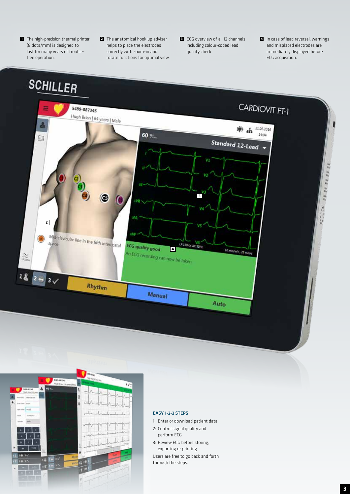- **1** The high-precision thermal printer (8 dots/mm) is designed to last for many years of troublefree operation.
- **2** The anatomical hook up adviser helps to place the electrodes correctly with zoom-in and rotate functions for optimal view.
- **3** ECG overview of all 12 channels including colour-coded lead quality check
- **4** In case of lead reversal, warnings and misplaced electrodes are immediately displayed before ECG acquisition.





#### EASY 1-2-3 STEPS

- 1: Enter or download patient data
- 2: Control signal quality and perform ECG
- 3: Review ECG before storing, exporting or printing Users are free to go back and forth
- through the steps.